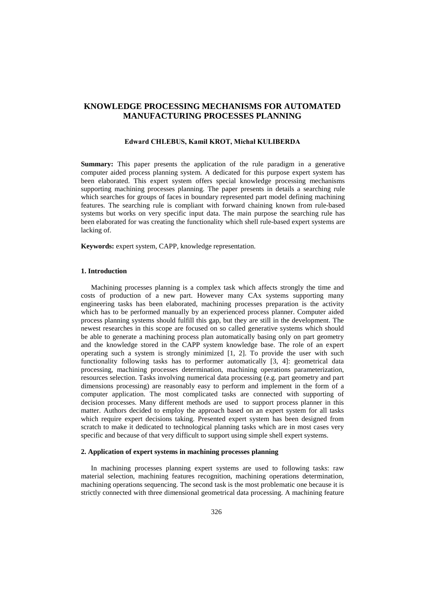# **KNOWLEDGE PROCESSING MECHANISMS FOR AUTOMATED MANUFACTURING PROCESSES PLANNING**

### **Edward CHLEBUS, Kamil KROT, Michał KULIBERDA**

**Summary:** This paper presents the application of the rule paradigm in a generative computer aided process planning system. A dedicated for this purpose expert system has been elaborated. This expert system offers special knowledge processing mechanisms supporting machining processes planning. The paper presents in details a searching rule which searches for groups of faces in boundary represented part model defining machining features. The searching rule is compliant with forward chaining known from rule-based systems but works on very specific input data. The main purpose the searching rule has been elaborated for was creating the functionality which shell rule-based expert systems are lacking of.

**Keywords:** expert system, CAPP, knowledge representation.

# **1. Introduction**

Machining processes planning is a complex task which affects strongly the time and costs of production of a new part. However many CAx systems supporting many engineering tasks has been elaborated, machining processes preparation is the activity which has to be performed manually by an experienced process planner. Computer aided process planning systems should fulfill this gap, but they are still in the development. The newest researches in this scope are focused on so called generative systems which should be able to generate a machining process plan automatically basing only on part geometry and the knowledge stored in the CAPP system knowledge base. The role of an expert operating such a system is strongly minimized [1, 2]. To provide the user with such functionality following tasks has to performer automatically [3, 4]: geometrical data processing, machining processes determination, machining operations parameterization, resources selection. Tasks involving numerical data processing (e.g. part geometry and part dimensions processing) are reasonably easy to perform and implement in the form of a computer application. The most complicated tasks are connected with supporting of decision processes. Many different methods are used to support process planner in this matter. Authors decided to employ the approach based on an expert system for all tasks which require expert decisions taking. Presented expert system has been designed from scratch to make it dedicated to technological planning tasks which are in most cases very specific and because of that very difficult to support using simple shell expert systems.

## **2. Application of expert systems in machining processes planning**

In machining processes planning expert systems are used to following tasks: raw material selection, machining features recognition, machining operations determination, machining operations sequencing. The second task is the most problematic one because it is strictly connected with three dimensional geometrical data processing. A machining feature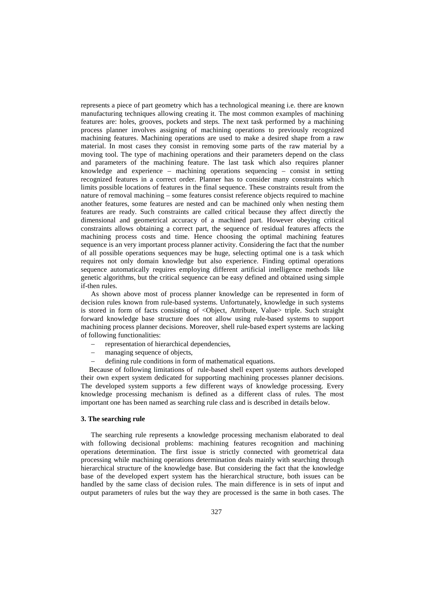represents a piece of part geometry which has a technological meaning i.e. there are known manufacturing techniques allowing creating it. The most common examples of machining features are: holes, grooves, pockets and steps. The next task performed by a machining process planner involves assigning of machining operations to previously recognized machining features. Machining operations are used to make a desired shape from a raw material. In most cases they consist in removing some parts of the raw material by a moving tool. The type of machining operations and their parameters depend on the class and parameters of the machining feature. The last task which also requires planner knowledge and experience – machining operations sequencing – consist in setting recognized features in a correct order. Planner has to consider many constraints which limits possible locations of features in the final sequence. These constraints result from the nature of removal machining – some features consist reference objects required to machine another features, some features are nested and can be machined only when nesting them features are ready. Such constraints are called critical because they affect directly the dimensional and geometrical accuracy of a machined part. However obeying critical constraints allows obtaining a correct part, the sequence of residual features affects the machining process costs and time. Hence choosing the optimal machining features sequence is an very important process planner activity. Considering the fact that the number of all possible operations sequences may be huge, selecting optimal one is a task which requires not only domain knowledge but also experience. Finding optimal operations sequence automatically requires employing different artificial intelligence methods like genetic algorithms, but the critical sequence can be easy defined and obtained using simple if-then rules.

As shown above most of process planner knowledge can be represented in form of decision rules known from rule-based systems. Unfortunately, knowledge in such systems is stored in form of facts consisting of <Object, Attribute, Value> triple. Such straight forward knowledge base structure does not allow using rule-based systems to support machining process planner decisions. Moreover, shell rule-based expert systems are lacking of following functionalities:

- − representation of hierarchical dependencies,
- − managing sequence of objects,
- defining rule conditions in form of mathematical equations.

Because of following limitations of rule-based shell expert systems authors developed their own expert system dedicated for supporting machining processes planner decisions. The developed system supports a few different ways of knowledge processing. Every knowledge processing mechanism is defined as a different class of rules. The most important one has been named as searching rule class and is described in details below.

# **3. The searching rule**

The searching rule represents a knowledge processing mechanism elaborated to deal with following decisional problems: machining features recognition and machining operations determination. The first issue is strictly connected with geometrical data processing while machining operations determination deals mainly with searching through hierarchical structure of the knowledge base. But considering the fact that the knowledge base of the developed expert system has the hierarchical structure, both issues can be handled by the same class of decision rules. The main difference is in sets of input and output parameters of rules but the way they are processed is the same in both cases. The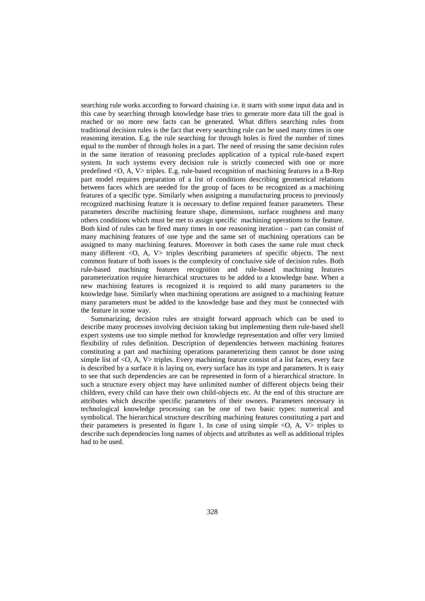searching rule works according to forward chaining i.e. it starts with some input data and in this case by searching through knowledge base tries to generate more data till the goal is reached or no more new facts can be generated. What differs searching rules from traditional decision rules is the fact that every searching rule can be used many times in one reasoning iteration. E.g. the rule searching for through holes is fired the number of times equal to the number of through holes in a part. The need of reusing the same decision rules in the same iteration of reasoning precludes application of a typical rule-based expert system. In such systems every decision rule is strictly connected with one or more predefined <O, A, V> triples. E.g. rule-based recognition of machining features in a B-Rep part model requires preparation of a list of conditions describing geometrical relations between faces which are needed for the group of faces to be recognized as a machining features of a specific type. Similarly when assigning a manufacturing process to previously recognized machining feature it is necessary to define required feature parameters. These parameters describe machining feature shape, dimensions, surface roughness and many others conditions which must be met to assign specific machining operations to the feature. Both kind of rules can be fired many times in one reasoning iteration – part can consist of many machining features of one type and the same set of machining operations can be assigned to many machining features. Moreover in both cases the same rule must check many different <O, A, V> triples describing parameters of specific objects. The next common feature of both issues is the complexity of conclusive side of decision rules. Both rule-based machining features recognition and rule-based machining features parameterization require hierarchical structures to be added to a knowledge base. When a new machining features is recognized it is required to add many parameters to the knowledge base. Similarly when machining operations are assigned to a machining feature many parameters must be added to the knowledge base and they must be connected with the feature in some way.

Summarizing, decision rules are straight forward approach which can be used to describe many processes involving decision taking but implementing them rule-based shell expert systems use too simple method for knowledge representation and offer very limited flexibility of rules definition. Description of dependencies between machining features constituting a part and machining operations parameterizing them cannot be done using simple list of <O, A, V> triples. Every machining feature consist of a list faces, every face is described by a surface it is laying on, every surface has its type and parameters. It is easy to see that such dependencies are can be represented in form of a hierarchical structure. In such a structure every object may have unlimited number of different objects being their children, every child can have their own child-objects etc. At the end of this structure are attributes which describe specific parameters of their owners. Parameters necessary in technological knowledge processing can be one of two basic types: numerical and symbolical. The hierarchical structure describing machining features constituting a part and their parameters is presented in figure 1. In case of using simple  $\langle O, A, V \rangle$  triples to describe such dependencies long names of objects and attributes as well as additional triples had to be used.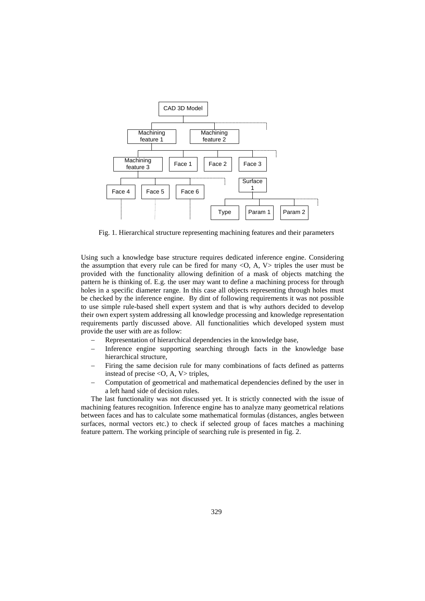

Fig. 1. Hierarchical structure representing machining features and their parameters

Using such a knowledge base structure requires dedicated inference engine. Considering the assumption that every rule can be fired for many  $\langle O, A, V \rangle$  triples the user must be provided with the functionality allowing definition of a mask of objects matching the pattern he is thinking of. E.g. the user may want to define a machining process for through holes in a specific diameter range. In this case all objects representing through holes must be checked by the inference engine. By dint of following requirements it was not possible to use simple rule-based shell expert system and that is why authors decided to develop their own expert system addressing all knowledge processing and knowledge representation requirements partly discussed above. All functionalities which developed system must provide the user with are as follow:

- Representation of hierarchical dependencies in the knowledge base,
- Inference engine supporting searching through facts in the knowledge base hierarchical structure,
- Firing the same decision rule for many combinations of facts defined as patterns instead of precise  $\langle O, A, V \rangle$  triples,
- − Computation of geometrical and mathematical dependencies defined by the user in a left hand side of decision rules.

The last functionality was not discussed yet. It is strictly connected with the issue of machining features recognition. Inference engine has to analyze many geometrical relations between faces and has to calculate some mathematical formulas (distances, angles between surfaces, normal vectors etc.) to check if selected group of faces matches a machining feature pattern. The working principle of searching rule is presented in fig. 2.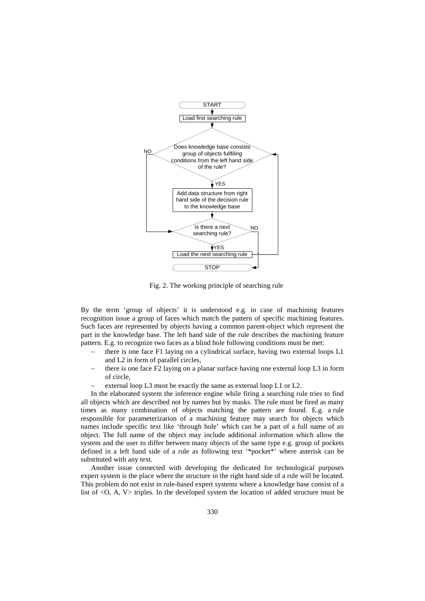

Fig. 2. The working principle of searching rule

By the term 'group of objects' it is understood e.g. in case of machining features recognition issue a group of faces which match the pattern of specific machining features. Such faces are represented by objects having a common parent-object which represent the part in the knowledge base. The left hand side of the rule describes the machining feature pattern. E.g. to recognize two faces as a blind hole following conditions must be met:

- there is one face F1 laying on a cylindrical surface, having two external loops L1 and L2 in form of parallel circles,
- there is one face F2 laying on a planar surface having one external loop L3 in form of circle,
- external loop L3 must be exactly the same as external loop L1 or L2.

In the elaborated system the inference engine while firing a searching rule tries to find all objects which are described not by names but by masks. The rule must be fired as many times as many combination of objects matching the pattern are found. E.g. a rule responsible for parameterization of a machining feature may search for objects which names include specific text like 'through hole' which can be a part of a full name of an object. The full name of the object may include additional information which allow the system and the user to differ between many objects of the same type e.g. group of pockets defined in a left hand side of a rule as following text '\*pocket\*' where asterisk can be substituted with any text.

Another issue connected with developing the dedicated for technological purposes expert system is the place where the structure in the right hand side of a rule will be located. This problem do not exist in rule-based expert systems where a knowledge base consist of a list of <O, A, V> triples. In the developed system the location of added structure must be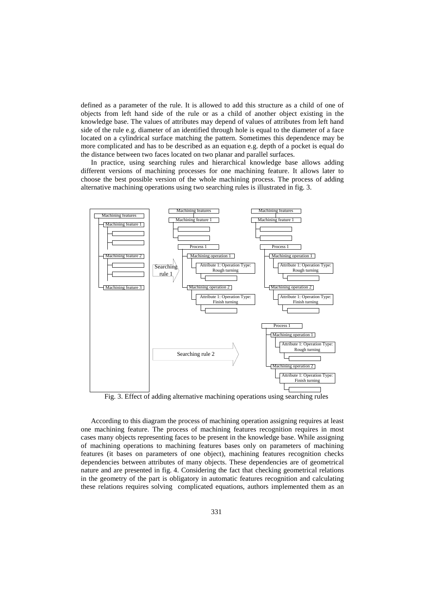defined as a parameter of the rule. It is allowed to add this structure as a child of one of objects from left hand side of the rule or as a child of another object existing in the knowledge base. The values of attributes may depend of values of attributes from left hand side of the rule e.g. diameter of an identified through hole is equal to the diameter of a face located on a cylindrical surface matching the pattern. Sometimes this dependence may be more complicated and has to be described as an equation e.g. depth of a pocket is equal do the distance between two faces located on two planar and parallel surfaces.

In practice, using searching rules and hierarchical knowledge base allows adding different versions of machining processes for one machining feature. It allows later to choose the best possible version of the whole machining process. The process of adding alternative machining operations using two searching rules is illustrated in fig. 3.



Fig. 3. Effect of adding alternative machining operations using searching rules

According to this diagram the process of machining operation assigning requires at least one machining feature. The process of machining features recognition requires in most cases many objects representing faces to be present in the knowledge base. While assigning of machining operations to machining features bases only on parameters of machining features (it bases on parameters of one object), machining features recognition checks dependencies between attributes of many objects. These dependencies are of geometrical nature and are presented in fig. 4. Considering the fact that checking geometrical relations in the geometry of the part is obligatory in automatic features recognition and calculating these relations requires solving complicated equations, authors implemented them as an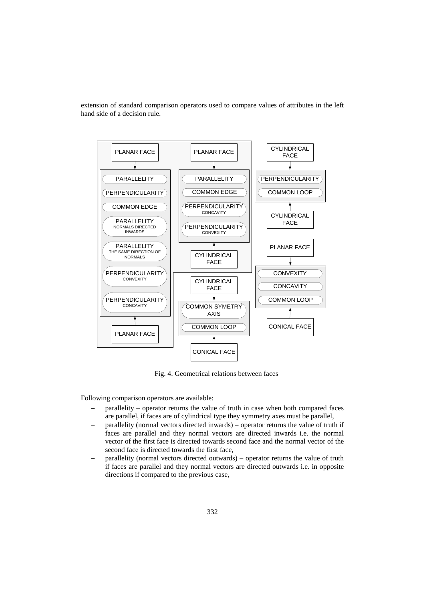extension of standard comparison operators used to compare values of attributes in the left hand side of a decision rule.



Fig. 4. Geometrical relations between faces

Following comparison operators are available:

- parallelity operator returns the value of truth in case when both compared faces are parallel, if faces are of cylindrical type they symmetry axes must be parallel,
- parallelity (normal vectors directed inwards) operator returns the value of truth if faces are parallel and they normal vectors are directed inwards i.e. the normal vector of the first face is directed towards second face and the normal vector of the second face is directed towards the first face,
- − parallelity (normal vectors directed outwards) operator returns the value of truth if faces are parallel and they normal vectors are directed outwards i.e. in opposite directions if compared to the previous case,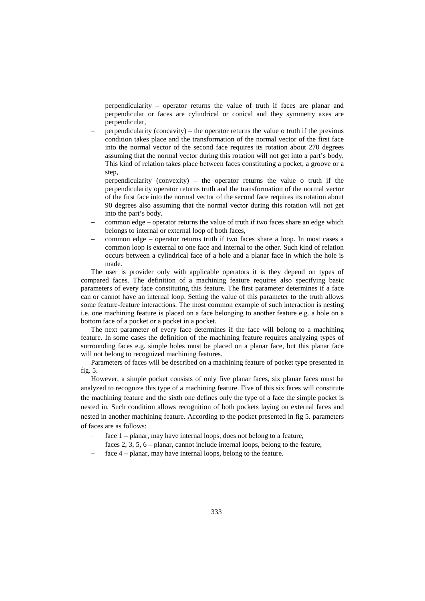- − perpendicularity operator returns the value of truth if faces are planar and perpendicular or faces are cylindrical or conical and they symmetry axes are perpendicular,
- − perpendicularity (concavity) the operator returns the value o truth if the previous condition takes place and the transformation of the normal vector of the first face into the normal vector of the second face requires its rotation about 270 degrees assuming that the normal vector during this rotation will not get into a part's body. This kind of relation takes place between faces constituting a pocket, a groove or a step,
- − perpendicularity (convexity) the operator returns the value o truth if the perpendicularity operator returns truth and the transformation of the normal vector of the first face into the normal vector of the second face requires its rotation about 90 degrees also assuming that the normal vector during this rotation will not get into the part's body.
- − common edge operator returns the value of truth if two faces share an edge which belongs to internal or external loop of both faces,
- − common edge operator returns truth if two faces share a loop. In most cases a common loop is external to one face and internal to the other. Such kind of relation occurs between a cylindrical face of a hole and a planar face in which the hole is made.

The user is provider only with applicable operators it is they depend on types of compared faces. The definition of a machining feature requires also specifying basic parameters of every face constituting this feature. The first parameter determines if a face can or cannot have an internal loop. Setting the value of this parameter to the truth allows some feature-feature interactions. The most common example of such interaction is nesting i.e. one machining feature is placed on a face belonging to another feature e.g. a hole on a bottom face of a pocket or a pocket in a pocket.

The next parameter of every face determines if the face will belong to a machining feature. In some cases the definition of the machining feature requires analyzing types of surrounding faces e.g. simple holes must be placed on a planar face, but this planar face will not belong to recognized machining features.

Parameters of faces will be described on a machining feature of pocket type presented in fig. 5.

However, a simple pocket consists of only five planar faces, six planar faces must be analyzed to recognize this type of a machining feature. Five of this six faces will constitute the machining feature and the sixth one defines only the type of a face the simple pocket is nested in. Such condition allows recognition of both pockets laying on external faces and nested in another machining feature. According to the pocket presented in fig 5. parameters of faces are as follows:

- face 1 planar, may have internal loops, does not belong to a feature,
- faces 2, 3, 5,  $6$  planar, cannot include internal loops, belong to the feature,
- $face 4$  planar, may have internal loops, belong to the feature.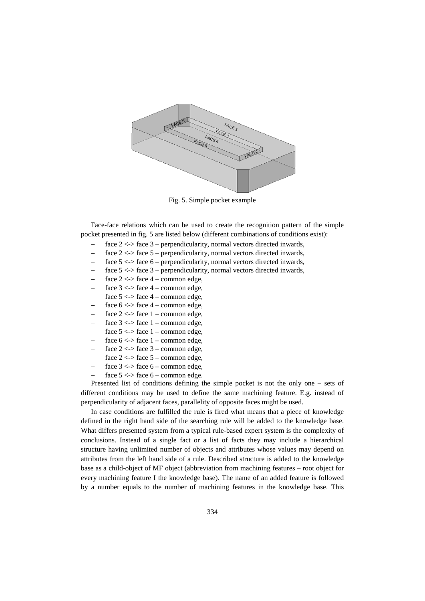

Fig. 5. Simple pocket example

Face-face relations which can be used to create the recognition pattern of the simple pocket presented in fig. 5 are listed below (different combinations of conditions exist):

- face  $2 \leq 2$  face  $3$  perpendicularity, normal vectors directed inwards,
- face  $2 \lt\gt$  face  $5$  perpendicularity, normal vectors directed inwards,
- face  $5 \le$  face  $6$  perpendicularity, normal vectors directed inwards,
- face  $5 \le$  face  $3$  perpendicularity, normal vectors directed inwards,
- face  $2 \le$  > face  $4$  common edge,
- face  $3 \le$  > face  $4$  common edge,
- face  $5 \le$  > face  $4$  common edge,
- face  $6 \le$  > face  $4$  common edge,
- face  $2 \lt\gt$  face  $1 -$  common edge,
- face  $3 \le$  > face  $1$  common edge,
- face  $5 \le$  > face  $1$  common edge,
- face  $6 \le$  > face  $1$  common edge,
- face  $2 \le$  > face  $3$  common edge,
- − face 2 <-> face 5 common edge,
- face  $3 \le$  > face  $6$  common edge,
- face  $5 \le$  > face  $6$  common edge.

Presented list of conditions defining the simple pocket is not the only one – sets of different conditions may be used to define the same machining feature. E.g. instead of perpendicularity of adjacent faces, parallelity of opposite faces might be used.

In case conditions are fulfilled the rule is fired what means that a piece of knowledge defined in the right hand side of the searching rule will be added to the knowledge base. What differs presented system from a typical rule-based expert system is the complexity of conclusions. Instead of a single fact or a list of facts they may include a hierarchical structure having unlimited number of objects and attributes whose values may depend on attributes from the left hand side of a rule. Described structure is added to the knowledge base as a child-object of MF object (abbreviation from machining features – root object for every machining feature I the knowledge base). The name of an added feature is followed by a number equals to the number of machining features in the knowledge base. This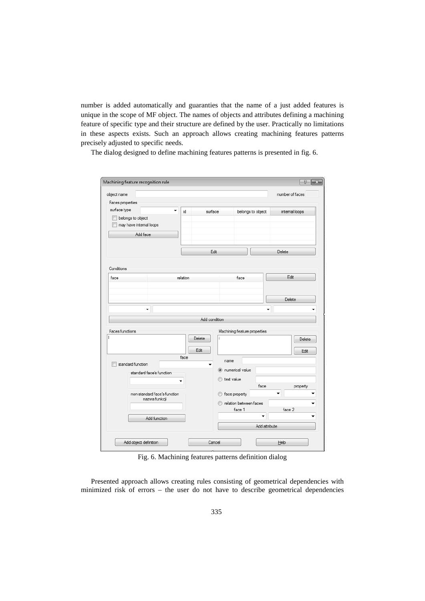number is added automatically and guaranties that the name of a just added features is unique in the scope of MF object. The names of objects and attributes defining a machining feature of specific type and their structure are defined by the user. Practically no limitations in these aspects exists. Such an approach allows creating machining features patterns precisely adjusted to specific needs.

The dialog designed to define machining features patterns is presented in fig. 6.

| B<br>$\mathbf{x}$ |  |  |  |  |
|-------------------|--|--|--|--|
| number of faces   |  |  |  |  |
|                   |  |  |  |  |
| intemal loops     |  |  |  |  |
|                   |  |  |  |  |
|                   |  |  |  |  |
|                   |  |  |  |  |
|                   |  |  |  |  |
|                   |  |  |  |  |
| Delete            |  |  |  |  |
|                   |  |  |  |  |
|                   |  |  |  |  |
| Edit              |  |  |  |  |
|                   |  |  |  |  |
|                   |  |  |  |  |
| Delete            |  |  |  |  |
|                   |  |  |  |  |
|                   |  |  |  |  |
|                   |  |  |  |  |
|                   |  |  |  |  |
| Delete            |  |  |  |  |
|                   |  |  |  |  |
| Edit              |  |  |  |  |
|                   |  |  |  |  |
|                   |  |  |  |  |
|                   |  |  |  |  |
|                   |  |  |  |  |
| property          |  |  |  |  |
|                   |  |  |  |  |
|                   |  |  |  |  |
| face 2            |  |  |  |  |
|                   |  |  |  |  |
|                   |  |  |  |  |
|                   |  |  |  |  |
|                   |  |  |  |  |
|                   |  |  |  |  |

Fig. 6. Machining features patterns definition dialog

Presented approach allows creating rules consisting of geometrical dependencies with minimized risk of errors – the user do not have to describe geometrical dependencies